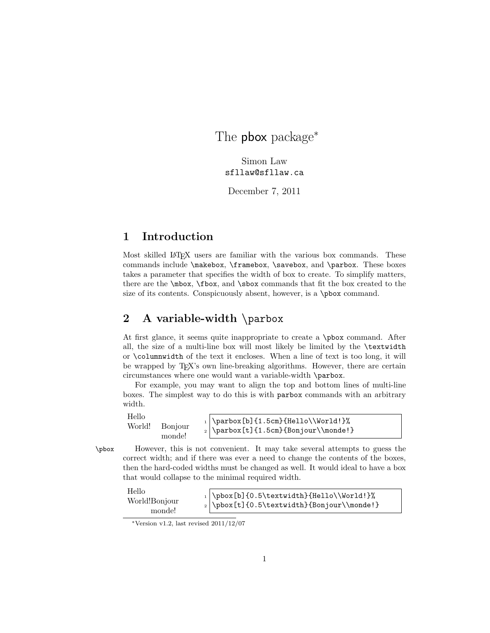The **pbox** package<sup>\*</sup>

Simon Law sfllaw@sfllaw.ca

December 7, 2011

# 1 Introduction

Most skilled LAT<sub>EX</sub> users are familiar with the various box commands. These commands include \makebox, \framebox, \savebox, and \parbox. These boxes takes a parameter that specifies the width of box to create. To simplify matters, there are the \mbox, \fbox, and \sbox commands that fit the box created to the size of its contents. Conspicuously absent, however, is a \pbox command.

# 2 A variable-width \parbox

At first glance, it seems quite inappropriate to create a \pbox command. After all, the size of a multi-line box will most likely be limited by the \textwidth or \columnwidth of the text it encloses. When a line of text is too long, it will be wrapped by T<sub>E</sub>X's own line-breaking algorithms. However, there are certain circumstances where one would want a variable-width \parbox.

For example, you may want to align the top and bottom lines of multi-line boxes. The simplest way to do this is with parbox commands with an arbitrary width.

Hello World! Bonjour monde!  $_1 \, \Delta$  ) \parbox[b]{1.5cm}{Hello\\World!}%  $_2 \mid \partial[f]_{1.5cm}$ {Bonjour $\backslash\mathbb{P}$  }

\pbox However, this is not convenient. It may take several attempts to guess the correct width; and if there was ever a need to change the contents of the boxes, then the hard-coded widths must be changed as well. It would ideal to have a box that would collapse to the minimal required width.

| Hello         | $\vert$ \pbox[b]{0.5\textwidth}{Hello\\World!}%                             |
|---------------|-----------------------------------------------------------------------------|
| World!Bonjour | $\frac{1}{0.5\text{ub}}$ [t] $\mathrm{\normalfont\text{Bon}jour}\mathcal{}$ |
| monde!        |                                                                             |

<sup>∗</sup>Version v1.2, last revised 2011/12/07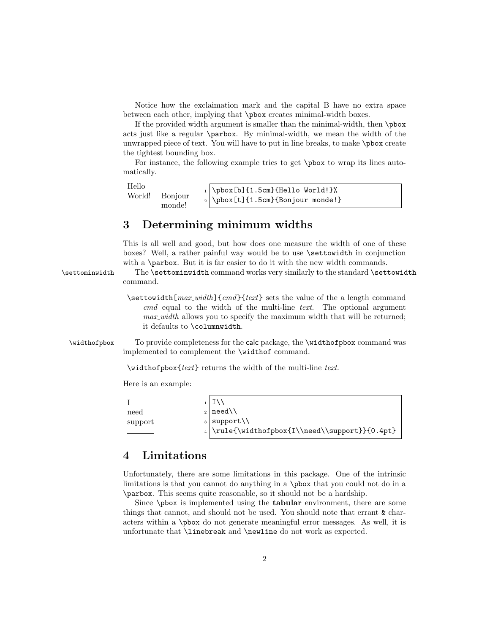Notice how the exclaimation mark and the capital B have no extra space between each other, implying that \pbox creates minimal-width boxes.

If the provided width argument is smaller than the minimal-width, then \pbox acts just like a regular \parbox. By minimal-width, we mean the width of the unwrapped piece of text. You will have to put in line breaks, to make \pbox create the tightest bounding box.

For instance, the following example tries to get \pbox to wrap its lines automatically.

```
Hello
World! Bonjour
        monde!
                     \pbox[b]{1.5cm}{Hello World!}%
                     \pbox[t]{1.5cm}{Bonjour monde!}
```
#### 3 Determining minimum widths

This is all well and good, but how does one measure the width of one of these boxes? Well, a rather painful way would be to use \settowidth in conjunction with a **\parbox**. But it is far easier to do it with the new width commands.

\settominwidth The \settominwidth command works very similarly to the standard \settowidth command.

> $\setminus$ settowidth[ $max_width$ ]{cmd}{text} sets the value of the a length command  $cmd$  equal to the width of the multi-line text. The optional argument max width allows you to specify the maximum width that will be returned; it defaults to \columnwidth.

\widthofpbox To provide completeness for the calc package, the \widthofpbox command was implemented to complement the \widthof command.

\widthofpbox{text} returns the width of the multi-line text.

Here is an example:

|         | $1$ IV                                            |
|---------|---------------------------------------------------|
| need    | $_2$   need \ \                                   |
| support | $_3$ support \\                                   |
|         | $_4$ \rule{\widthofpbox{I\\need\\support}}{0.4pt} |

#### 4 Limitations

Unfortunately, there are some limitations in this package. One of the intrinsic limitations is that you cannot do anything in a \pbox that you could not do in a \parbox. This seems quite reasonable, so it should not be a hardship.

Since  $\mathcal{D}$  is implemented using the **tabular** environment, there are some things that cannot, and should not be used. You should note that errant & characters within a \pbox do not generate meaningful error messages. As well, it is unfortunate that \linebreak and \newline do not work as expected.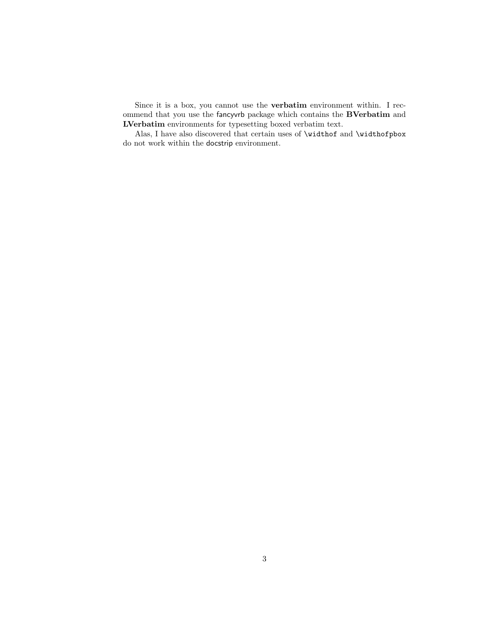Since it is a box, you cannot use the verbatim environment within. I recommend that you use the fancyvrb package which contains the BVerbatim and LVerbatim environments for typesetting boxed verbatim text.

Alas, I have also discovered that certain uses of **\widthof** and **\widthofpbox** do not work within the docstrip environment.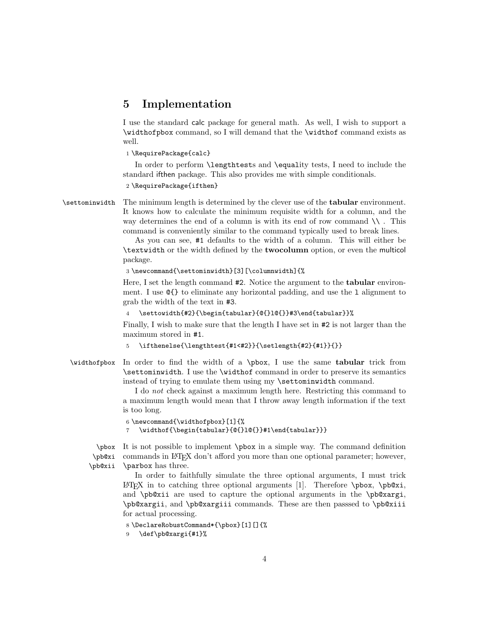#### 5 Implementation

I use the standard calc package for general math. As well, I wish to support a \widthofpbox command, so I will demand that the \widthof command exists as well.

1 \RequirePackage{calc}

In order to perform \lengthtests and \equality tests, I need to include the standard ifthen package. This also provides me with simple conditionals.

2 \RequirePackage{ifthen}

\settominwidth The minimum length is determined by the clever use of the tabular environment. It knows how to calculate the minimum requisite width for a column, and the way determines the end of a column is with its end of row command  $\setminus \cdot$ . This command is conveniently similar to the command typically used to break lines.

> As you can see, #1 defaults to the width of a column. This will either be \textwidth or the width defined by the twocolumn option, or even the multicol package.

3 \newcommand{\settominwidth}[3][\columnwidth]{%

Here, I set the length command #2. Notice the argument to the tabular environment. I use @{} to eliminate any horizontal padding, and use the l alignment to grab the width of the text in #3.

```
4 \settowidth{#2}{\begin{tabular}{@{}l@{}}#3\end{tabular}}%
```
Finally, I wish to make sure that the length I have set in #2 is not larger than the maximum stored in #1.

```
\ifthenelse{\lengthtest{#1<#2}}{\setlength{#2}{#1}}{}}
```
\widthofpbox In order to find the width of a \pbox, I use the same tabular trick from \settominwidth. I use the \widthof command in order to preserve its semantics instead of trying to emulate them using my \settominwidth command.

> I do not check against a maximum length here. Restricting this command to a maximum length would mean that I throw away length information if the text is too long.

```
6 \newcommand{\widthofpbox}[1]{%
```
7 \widthof{\begin{tabular}{@{}l@{}}#1\end{tabular}}}

\pbox It is not possible to implement \pbox in a simple way. The command definition \pb@xi \pb@xii commands in LATEX don't afford you more than one optional parameter; however, \parbox has three.

> In order to faithfully simulate the three optional arguments, I must trick LAT<sub>EX</sub> in to catching three optional arguments [1]. Therefore  $\text{pbox}, \text{pbox}, \text{pbox}$ , and \pb@xii are used to capture the optional arguments in the \pb@xargi, \pb@xargii, and \pb@xargiii commands. These are then passsed to \pb@xiii for actual processing.

```
8 \DeclareRobustCommand*{\pbox}[1][]{%
```

```
9 \def\pb@xargi{#1}%
```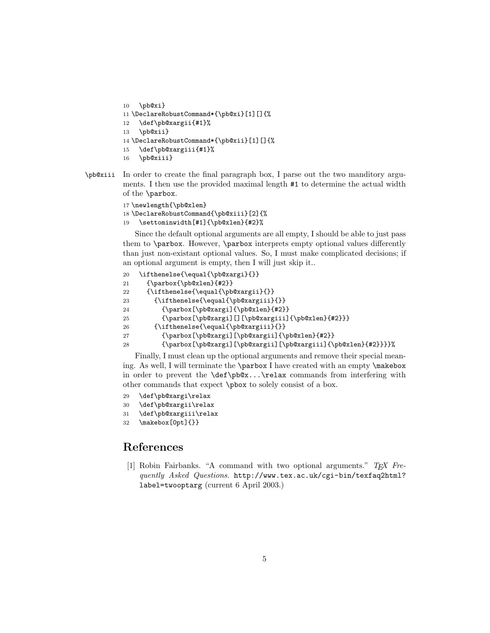```
10 \pb@xi}
11 \DeclareRobustCommand*{\pb@xi}[1][]{%
12 \def\pb@xargii{#1}%
13 \pb@xii}
14 \DeclareRobustCommand*{\pb@xii}[1][]{%
15 \def\pb@xargiii{#1}%
16 \pb@xiii}
```
\pb@xiii In order to create the final paragraph box, I parse out the two manditory arguments. I then use the provided maximal length #1 to determine the actual width of the \parbox.

```
17 \newlength{\pb@xlen}
18 \DeclareRobustCommand{\pb@xiii}[2]{%
```
19 \settominwidth[#1]{\pb@xlen}{#2}%

Since the default optional arguments are all empty, I should be able to just pass them to \parbox. However, \parbox interprets empty optional values differently than just non-existant optional values. So, I must make complicated decisions; if an optional argument is empty, then I will just skip it..

```
20 \ifthenelse{\equal{\pb@xargi}{}}
21 {\parbox{\pb@xlen}{#2}}
22 {\ifthenelse{\equal{\pb@xargii}{}}
23 {\ifthenelse{\equal{\pb@xargiii}{}}
24 {\parbox[\pb@xargi]{\pb@xlen}{#2}}
25 {\parbox[\pb@xargi][][\pb@xargiii]{\pb@xlen}{#2}}}
26 {\ifthenelse{\equal{\pb@xargiii}{}}
27 {\parbox[\pb@xargi][\pb@xargii]{\pb@xlen}{#2}}
28 {\parbox[\pb@xargi][\pb@xargii][\pb@xargiii]{\pb@xlen}{#2}}}}%
```
Finally, I must clean up the optional arguments and remove their special meaning. As well, I will terminate the \parbox I have created with an empty \makebox in order to prevent the \def\pb@x...\relax commands from interfering with other commands that expect \pbox to solely consist of a box.

```
29 \def\pb@xargi\relax
```

```
30 \def\pb@xargii\relax
```
- 31 \def\pb@xargiii\relax
- 32 \makebox[0pt]{}}

### References

[1] Robin Fairbanks. "A command with two optional arguments."  $T_F X$  Frequently Asked Questions. http://www.tex.ac.uk/cgi-bin/texfaq2html? label=twooptarg (current 6 April 2003.)